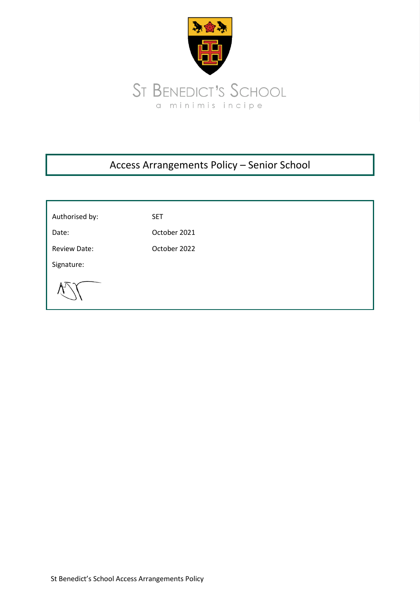

# Access Arrangements Policy – Senior School

| Authorised by:      | <b>SET</b>   |
|---------------------|--------------|
| Date:               | October 2021 |
| <b>Review Date:</b> | October 2022 |
| Signature:          |              |
|                     |              |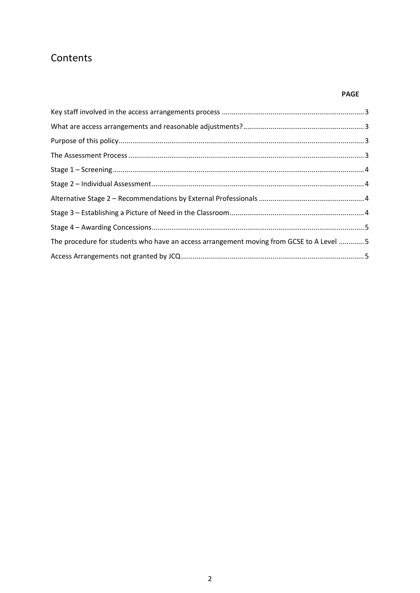## **Contents**

### **PAGE**

| The procedure for students who have an access arrangement moving from GCSE to A Level  5 |  |
|------------------------------------------------------------------------------------------|--|
|                                                                                          |  |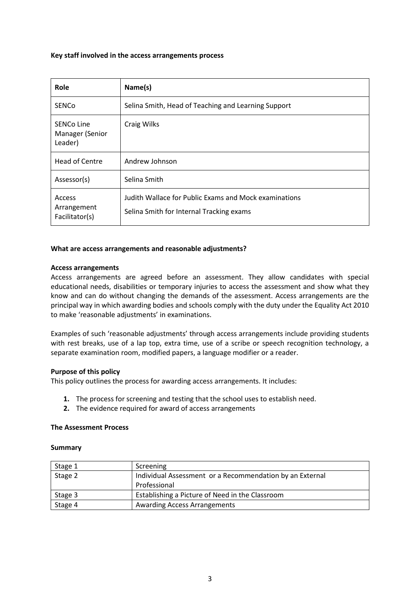#### <span id="page-2-0"></span>**Key staff involved in the access arrangements process**

| Role                                     | Name(s)                                                                                           |
|------------------------------------------|---------------------------------------------------------------------------------------------------|
| <b>SENCO</b>                             | Selina Smith, Head of Teaching and Learning Support                                               |
| SENCo Line<br>Manager (Senior<br>Leader) | Craig Wilks                                                                                       |
| <b>Head of Centre</b>                    | Andrew Johnson                                                                                    |
| Assessor(s)                              | Selina Smith                                                                                      |
| Access<br>Arrangement<br>Facilitator(s)  | Judith Wallace for Public Exams and Mock examinations<br>Selina Smith for Internal Tracking exams |

#### <span id="page-2-1"></span>**What are access arrangements and reasonable adjustments?**

#### **Access arrangements**

Access arrangements are agreed before an assessment. They allow candidates with special educational needs, disabilities or temporary injuries to access the assessment and show what they know and can do without changing the demands of the assessment. Access arrangements are the principal way in which awarding bodies and schools comply with the duty under the Equality Act 2010 to make 'reasonable adjustments' in examinations.

Examples of such 'reasonable adjustments' through access arrangements include providing students with rest breaks, use of a lap top, extra time, use of a scribe or speech recognition technology, a separate examination room, modified papers, a language modifier or a reader.

#### <span id="page-2-2"></span>**Purpose of this policy**

This policy outlines the process for awarding access arrangements. It includes:

- **1.** The process for screening and testing that the school uses to establish need.
- **2.** The evidence required for award of access arrangements

#### <span id="page-2-3"></span>**The Assessment Process**

#### **Summary**

| Stage 1 | Screening                                                |
|---------|----------------------------------------------------------|
| Stage 2 | Individual Assessment or a Recommendation by an External |
|         | Professional                                             |
| Stage 3 | Establishing a Picture of Need in the Classroom          |
| Stage 4 | <b>Awarding Access Arrangements</b>                      |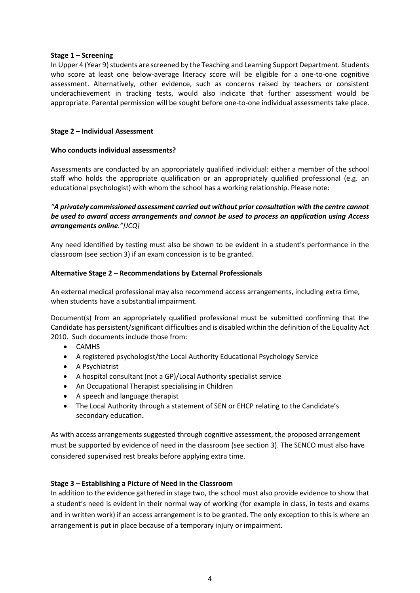#### <span id="page-3-0"></span>**Stage 1 – Screening**

In Upper 4 (Year 9) students are screened by the Teaching and Learning Support Department. Students who score at least one below-average literacy score will be eligible for a one-to-one cognitive assessment. Alternatively, other evidence, such as concerns raised by teachers or consistent underachievement in tracking tests, would also indicate that further assessment would be appropriate. Parental permission will be sought before one-to-one individual assessments take place.

#### <span id="page-3-1"></span>**Stage 2 – Individual Assessment**

#### **Who conducts individual assessments?**

Assessments are conducted by an appropriately qualified individual: either a member of the school staff who holds the appropriate qualification or an appropriately qualified professional (e.g. an educational psychologist) with whom the school has a working relationship. Please note:

#### *"A privately commissioned assessment carried out without prior consultation with the centre cannot be used to award access arrangements and cannot be used to process an application using Access arrangements online."[JCQ]*

Any need identified by testing must also be shown to be evident in a student's performance in the classroom (see section 3) if an exam concession is to be granted.

#### <span id="page-3-2"></span>**Alternative Stage 2 – Recommendations by External Professionals**

An external medical professional may also recommend access arrangements, including extra time, when students have a substantial impairment.

Document(s) from an appropriately qualified professional must be submitted confirming that the Candidate has persistent/significant difficulties and is disabled within the definition of the Equality Act 2010. Such documents include those from:

- CAMHS
- A registered psychologist/the Local Authority Educational Psychology Service
- A Psychiatrist
- A hospital consultant (not a GP)/Local Authority specialist service
- An Occupational Therapist specialising in Children
- A speech and language therapist
- The Local Authority through a statement of SEN or EHCP relating to the Candidate's secondary education**.**

As with access arrangements suggested through cognitive assessment, the proposed arrangement must be supported by evidence of need in the classroom (see section 3). The SENCO must also have considered supervised rest breaks before applying extra time.

#### <span id="page-3-3"></span>**Stage 3 – Establishing a Picture of Need in the Classroom**

In addition to the evidence gathered in stage two, the school must also provide evidence to show that a student's need is evident in their normal way of working (for example in class, in tests and exams and in written work) if an access arrangement is to be granted. The only exception to this is where an arrangement is put in place because of a temporary injury or impairment.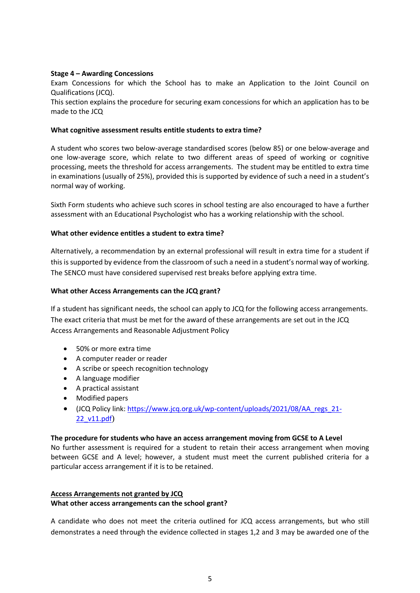#### <span id="page-4-0"></span>**Stage 4 – Awarding Concessions**

Exam Concessions for which the School has to make an Application to the Joint Council on Qualifications (JCQ).

This section explains the procedure for securing exam concessions for which an application has to be made to the JCQ

#### **What cognitive assessment results entitle students to extra time?**

A student who scores two below-average standardised scores (below 85) or one below-average and one low-average score, which relate to two different areas of speed of working or cognitive processing, meets the threshold for access arrangements. The student may be entitled to extra time in examinations (usually of 25%), provided this is supported by evidence of such a need in a student's normal way of working.

Sixth Form students who achieve such scores in school testing are also encouraged to have a further assessment with an Educational Psychologist who has a working relationship with the school.

#### **What other evidence entitles a student to extra time?**

Alternatively, a recommendation by an external professional will result in extra time for a student if this is supported by evidence from the classroom of such a need in a student's normal way of working. The SENCO must have considered supervised rest breaks before applying extra time.

#### **What other Access Arrangements can the JCQ grant?**

If a student has significant needs, the school can apply to JCQ for the following access arrangements. The exact criteria that must be met for the award of these arrangements are set out in the JCQ Access Arrangements and Reasonable Adjustment Policy

- 50% or more extra time
- A computer reader or reader
- A scribe or speech recognition technology
- A language modifier
- A practical assistant
- Modified papers
- (JCQ Policy link[: https://www.jcq.org.uk/wp-content/uploads/2021/08/AA\\_regs\\_21-](https://www.jcq.org.uk/wp-content/uploads/2021/08/AA_regs_21-22_v11.pdf) [22\\_v11.pdf](https://www.jcq.org.uk/wp-content/uploads/2021/08/AA_regs_21-22_v11.pdf))

#### <span id="page-4-1"></span>**The procedure for students who have an access arrangement moving from GCSE to A Level**

No further assessment is required for a student to retain their access arrangement when moving between GCSE and A level; however, a student must meet the current published criteria for a particular access arrangement if it is to be retained.

#### <span id="page-4-2"></span>**Access Arrangements not granted by JCQ What other access arrangements can the school grant?**

A candidate who does not meet the criteria outlined for JCQ access arrangements, but who still demonstrates a need through the evidence collected in stages 1,2 and 3 may be awarded one of the